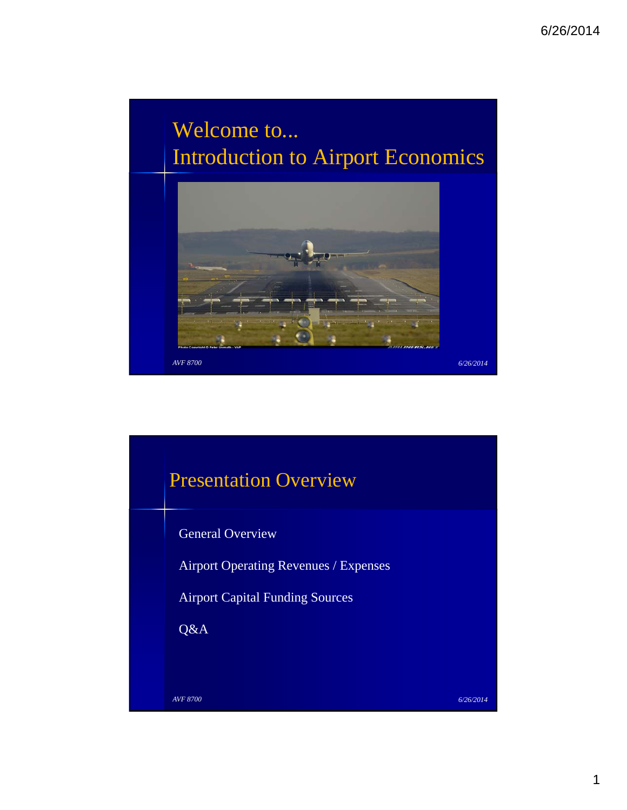## Welcome to... Introduction to Airport Economics



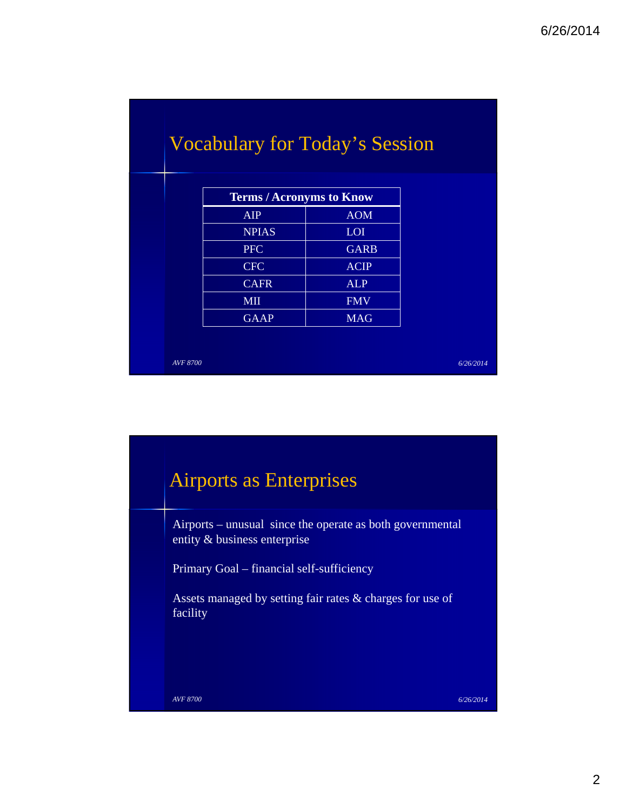| <b>Terms / Acronyms to Know</b> |             |  |
|---------------------------------|-------------|--|
| <b>AIP</b>                      | <b>AOM</b>  |  |
| <b>NPIAS</b>                    | <b>LOI</b>  |  |
| <b>PFC</b>                      | <b>GARB</b> |  |
| <b>CFC</b>                      | <b>ACIP</b> |  |
| <b>CAFR</b>                     | <b>ALP</b>  |  |
| <b>MII</b>                      | <b>FMV</b>  |  |
| <b>GAAP</b>                     | <b>MAG</b>  |  |

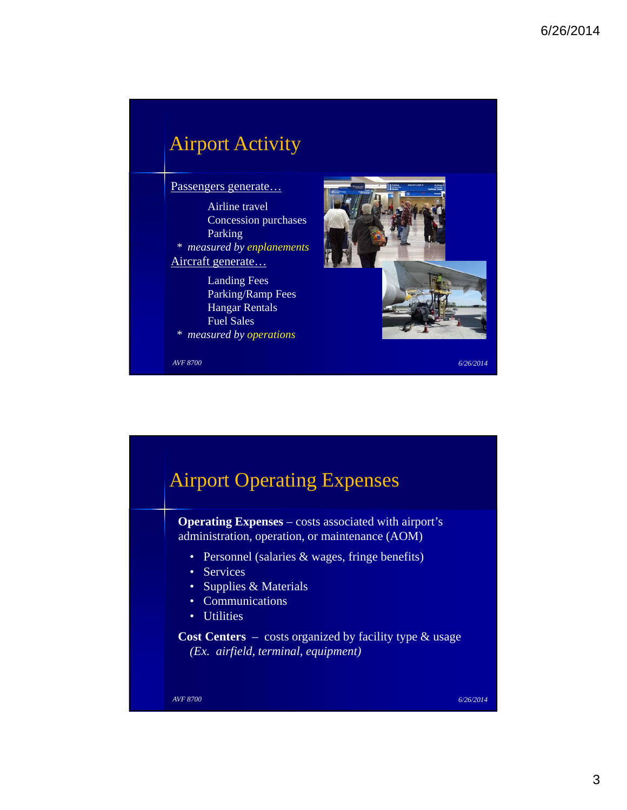### *AVF 8700 6/26/2014* Airport Activity Passengers generate… Airline travel Concession purchases Parking *\* measured by enplanements* Aircraft generate… Landing Fees Parking/Ramp Fees Hangar Rentals Fuel Sales *\* measured by operations*

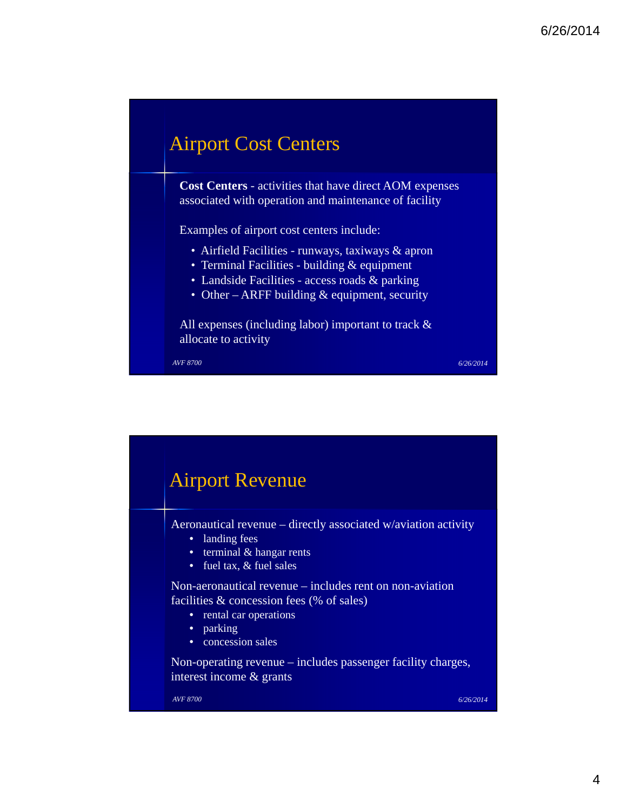## Airport Cost Centers

**Cost Centers** - activities that have direct AOM expenses associated with operation and maintenance of facility

Examples of airport cost centers include:

- Airfield Facilities runways, taxiways & apron
- Terminal Facilities building & equipment
- Landside Facilities access roads & parking
- Other ARFF building & equipment, security

All expenses (including labor) important to track & allocate to activity

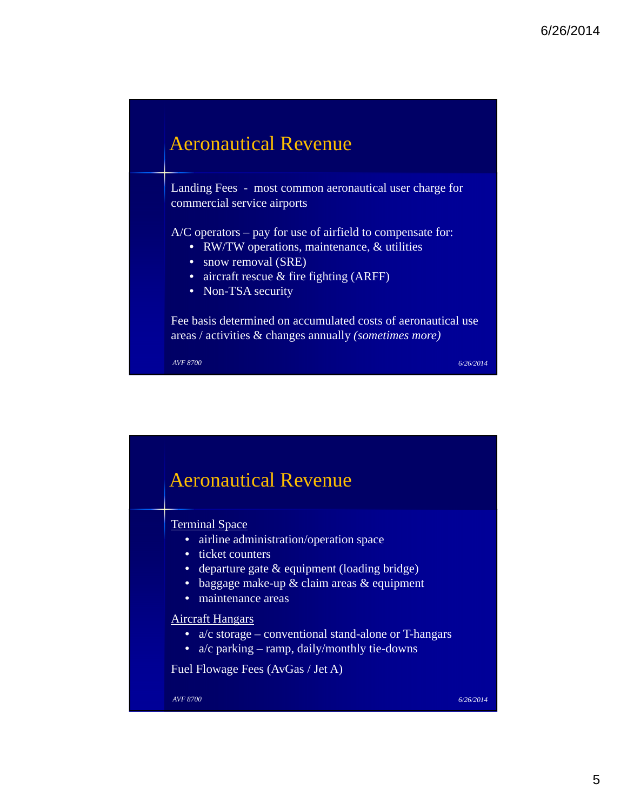

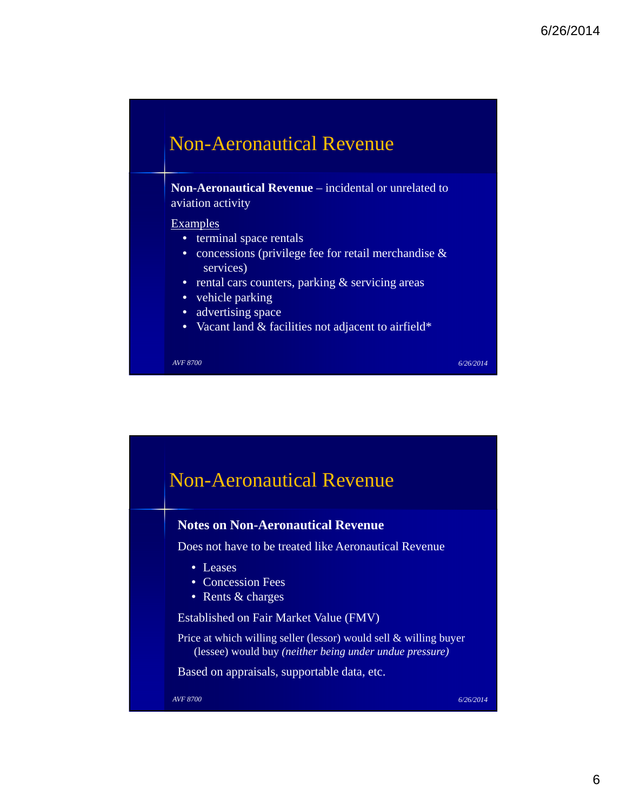## Non-Aeronautical Revenue

**Non-Aeronautical Revenue** – incidental or unrelated to aviation activity

#### **Examples**

- terminal space rentals
- concessions (privilege fee for retail merchandise & services)
- rental cars counters, parking & servicing areas
- vehicle parking
- advertising space
- Vacant land & facilities not adjacent to airfield\*

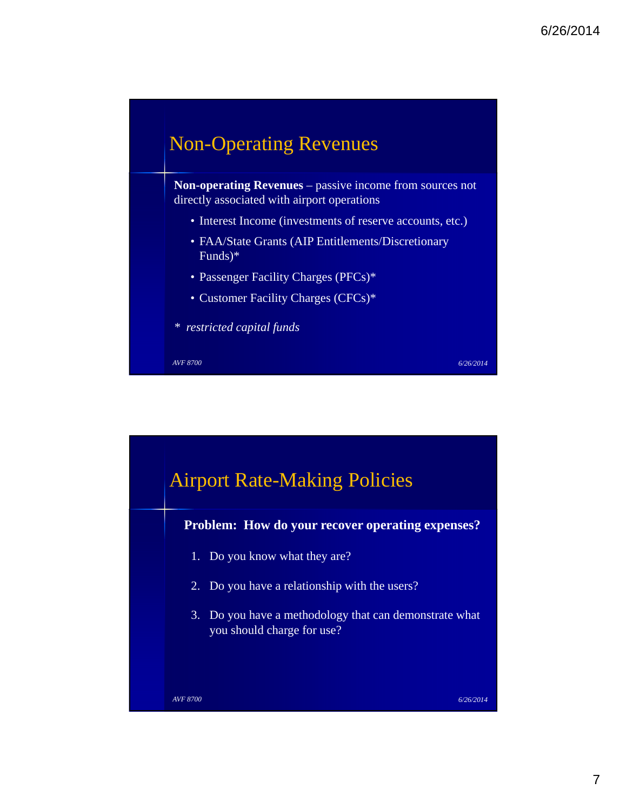

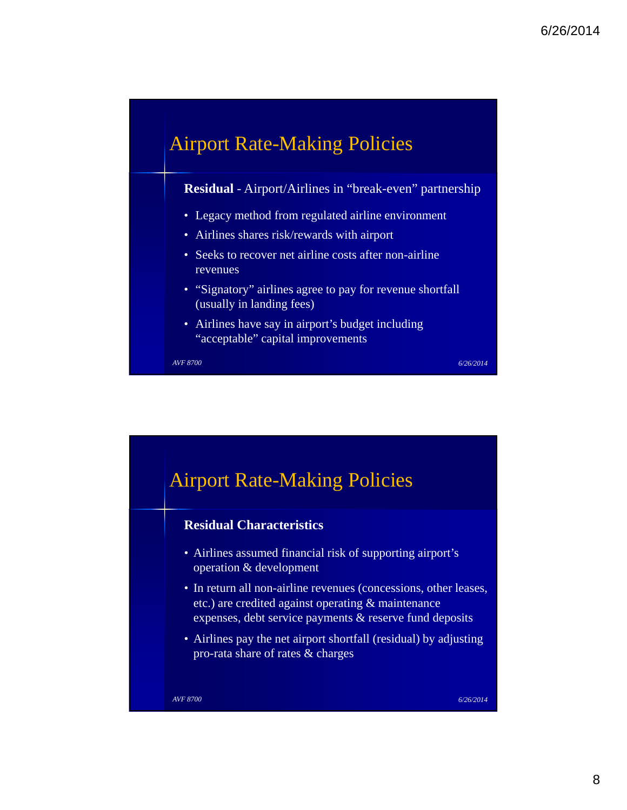

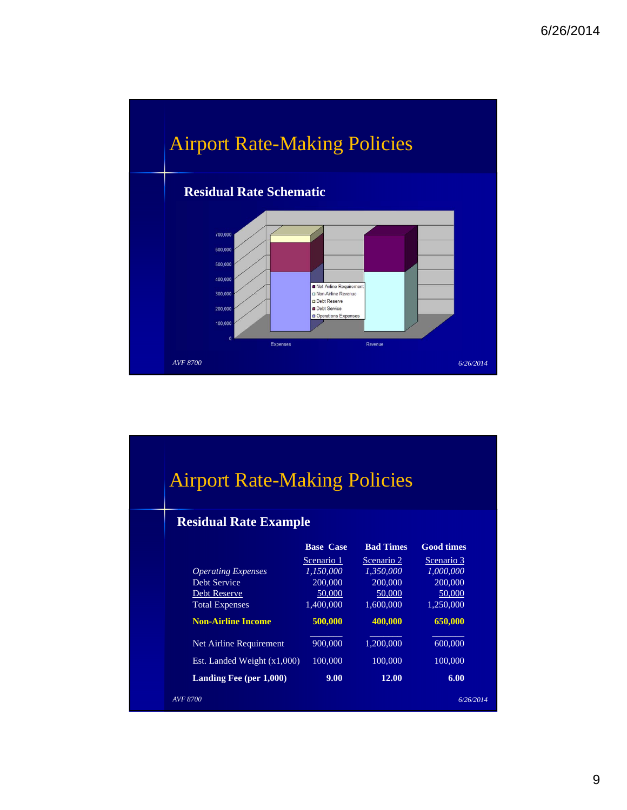

# Airport Rate-Making Policies

#### **Residual Rate Example**

|                               | <b>Base Case</b> | <b>Bad Times</b> | <b>Good times</b> |
|-------------------------------|------------------|------------------|-------------------|
|                               | Scenario 1       | Scenario 2       | Scenario 3        |
| <b>Operating Expenses</b>     | 1.150.000        | 1.350.000        | 1.000.000         |
| Debt Service                  | 200,000          | 200,000          | 200,000           |
| <b>Debt Reserve</b>           | 50,000           | 50,000           | 50,000            |
| <b>Total Expenses</b>         | 1,400,000        | 1.600,000        | 1,250,000         |
| <b>Non-Airline Income</b>     | 500,000          | 400.000          | 650,000           |
| Net Airline Requirement       | 900,000          | 1,200,000        | 600,000           |
| Est. Landed Weight $(x1,000)$ | 100,000          | 100,000          | 100,000           |
| Landing Fee $(per 1,000)$     | 9.00             | 12.00            | 6.00              |
| AVF 8700                      |                  |                  | 6/26/2014         |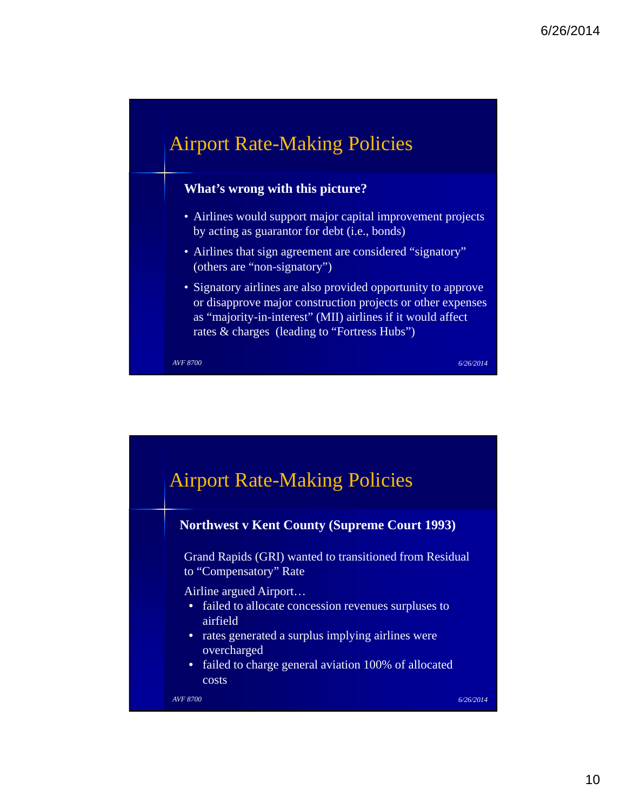## Airport Rate-Making Policies

#### **What's wrong with this picture?**

- Airlines would support major capital improvement projects by acting as guarantor for debt (i.e., bonds)
- Airlines that sign agreement are considered "signatory" (others are "non-signatory")
- Signatory airlines are also provided opportunity to approve or disapprove major construction projects or other expenses as "majority-in-interest" (MII) airlines if it would affect rates & charges (leading to "Fortress Hubs")

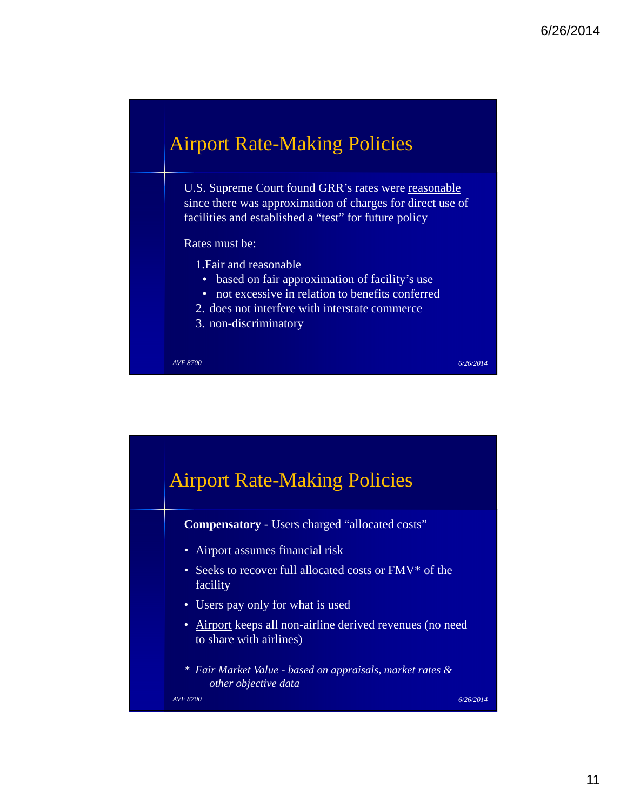

U.S. Supreme Court found GRR's rates were reasonable since there was approximation of charges for direct use of facilities and established a "test" for future policy

#### Rates must be:

- 1.Fair and reasonable
	- based on fair approximation of facility's use
	- not excessive in relation to benefits conferred
- 2. does not interfere with interstate commerce
- 3. non-discriminatory

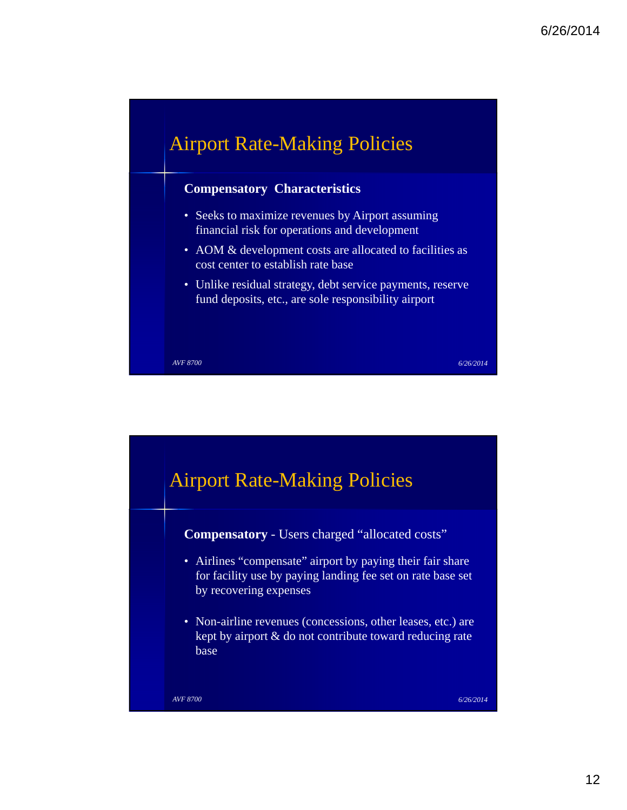

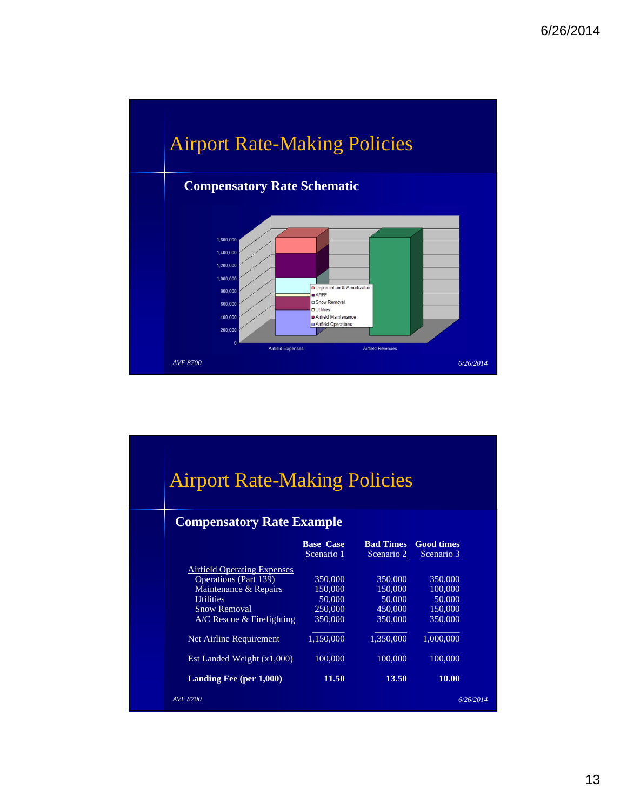

|                                  | <b>Airport Rate-Making Policies</b> |                   |  |  |  |  |
|----------------------------------|-------------------------------------|-------------------|--|--|--|--|
|                                  |                                     |                   |  |  |  |  |
|                                  |                                     |                   |  |  |  |  |
|                                  |                                     |                   |  |  |  |  |
| <b>Compensatory Rate Example</b> |                                     |                   |  |  |  |  |
| <b>Base Case</b>                 | <b>Bad Times</b>                    | <b>Good times</b> |  |  |  |  |
| Scenario 1                       | Scenario 2                          | Scenario 3        |  |  |  |  |
|                                  |                                     |                   |  |  |  |  |
| 350,000                          | 350,000                             | 350,000           |  |  |  |  |
| 150,000                          | 150,000                             | 100,000           |  |  |  |  |
| 50,000                           | 50,000                              | 50,000            |  |  |  |  |
| 250,000                          | 450,000                             | 150,000           |  |  |  |  |
| 350,000                          | 350,000                             | 350,000           |  |  |  |  |
| 1,150,000                        | 1,350,000                           | 1,000,000         |  |  |  |  |
| 100,000                          | 100,000                             | 100,000           |  |  |  |  |
| 11.50                            | 13.50                               | 10.00             |  |  |  |  |
|                                  |                                     |                   |  |  |  |  |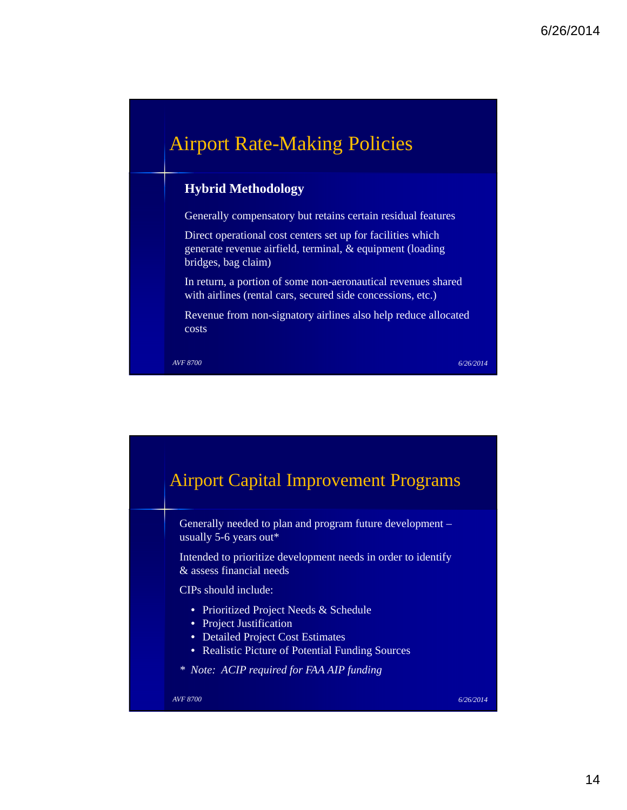## Airport Rate-Making Policies

#### **Hybrid Methodology**

Generally compensatory but retains certain residual features

Direct operational cost centers set up for facilities which generate revenue airfield, terminal, & equipment (loading bridges, bag claim)

In return, a portion of some non-aeronautical revenues shared with airlines (rental cars, secured side concessions, etc.)

Revenue from non-signatory airlines also help reduce allocated costs

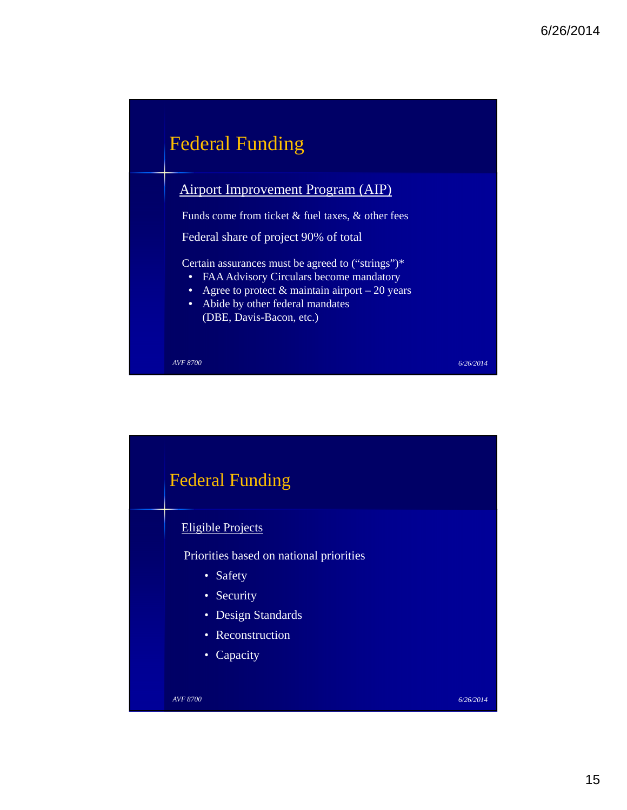

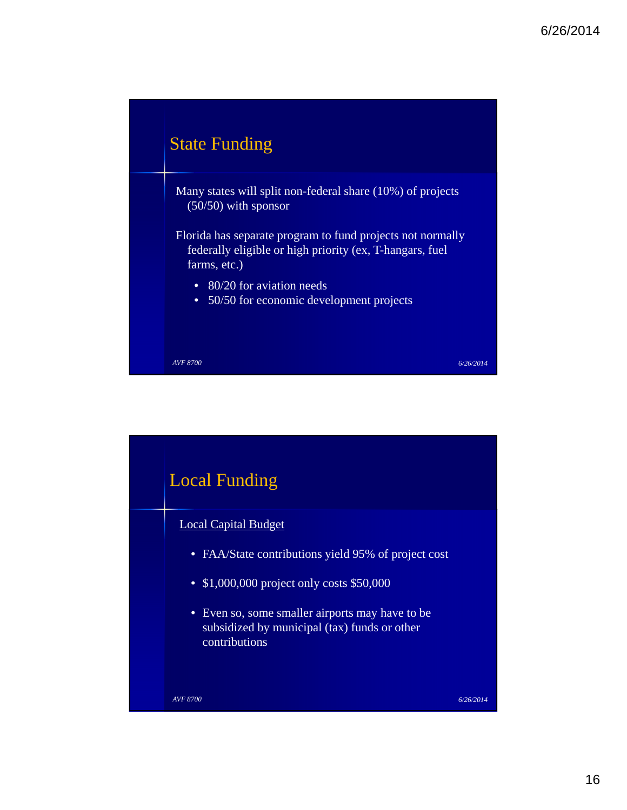

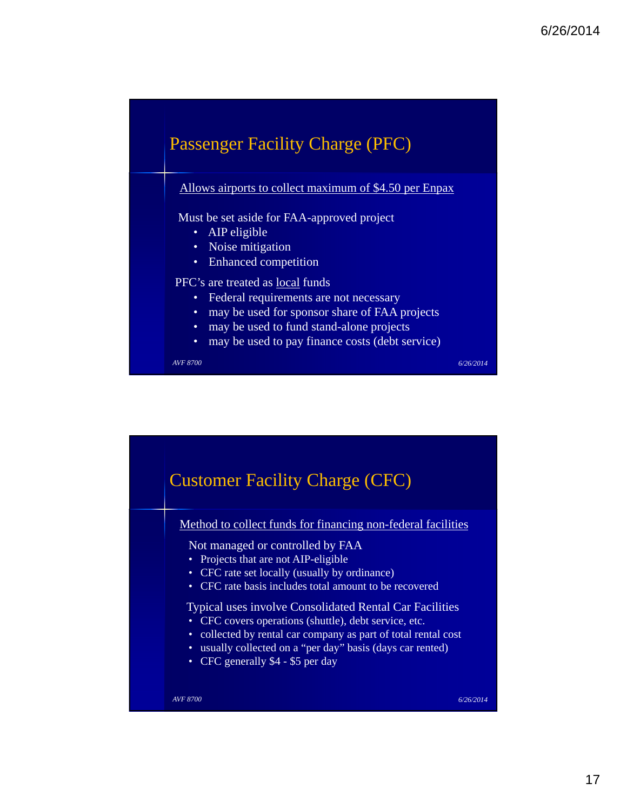

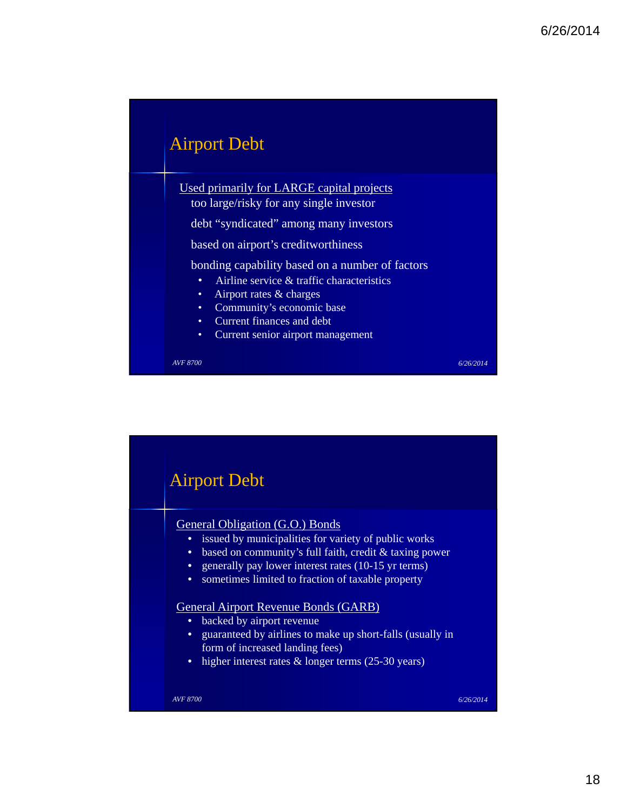

Used primarily for LARGE capital projects too large/risky for any single investor

debt "syndicated" among many investors

based on airport's creditworthiness

bonding capability based on a number of factors

- Airline service & traffic characteristics
- Airport rates & charges
- Community's economic base
- Current finances and debt
- Current senior airport management

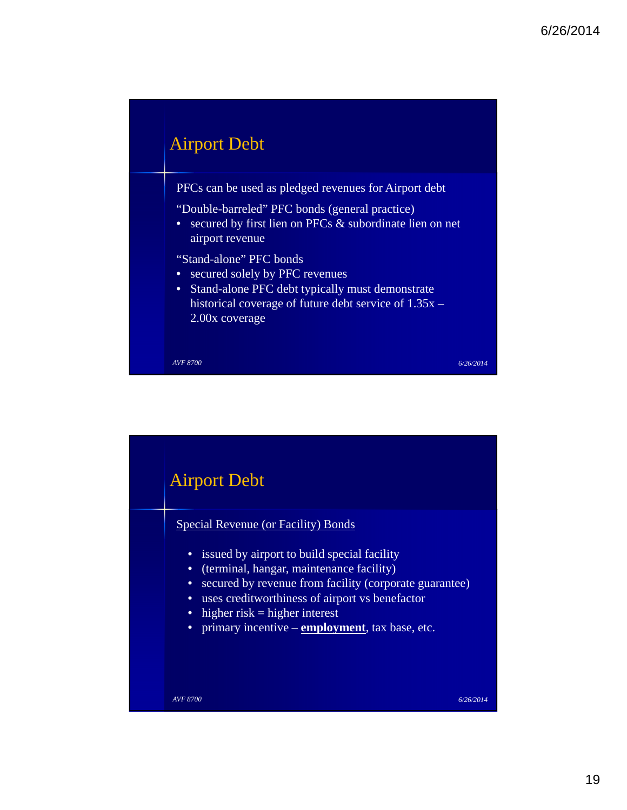

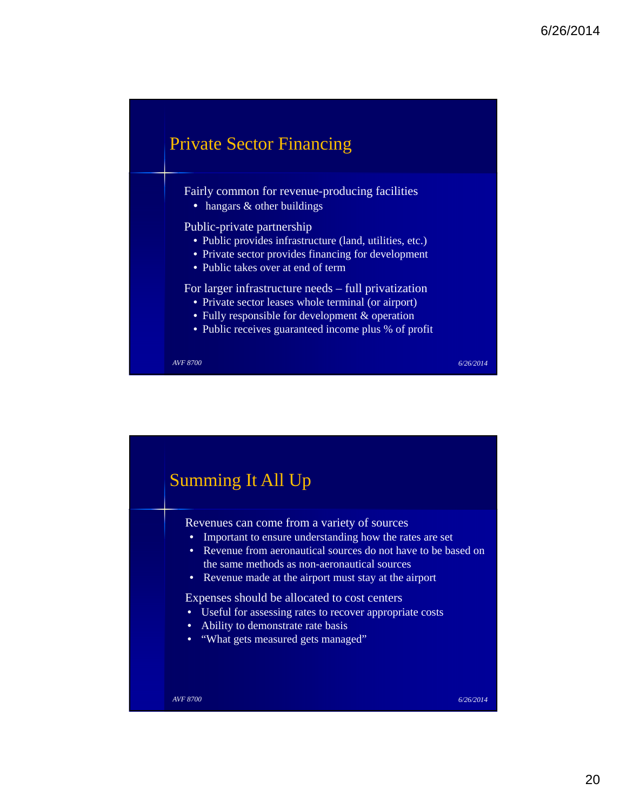

Fairly common for revenue-producing facilities

• hangars & other buildings

Public-private partnership

- Public provides infrastructure (land, utilities, etc.)
- Private sector provides financing for development
- Public takes over at end of term

For larger infrastructure needs – full privatization

- Private sector leases whole terminal (or airport)
- Fully responsible for development & operation
- Public receives guaranteed income plus % of profit